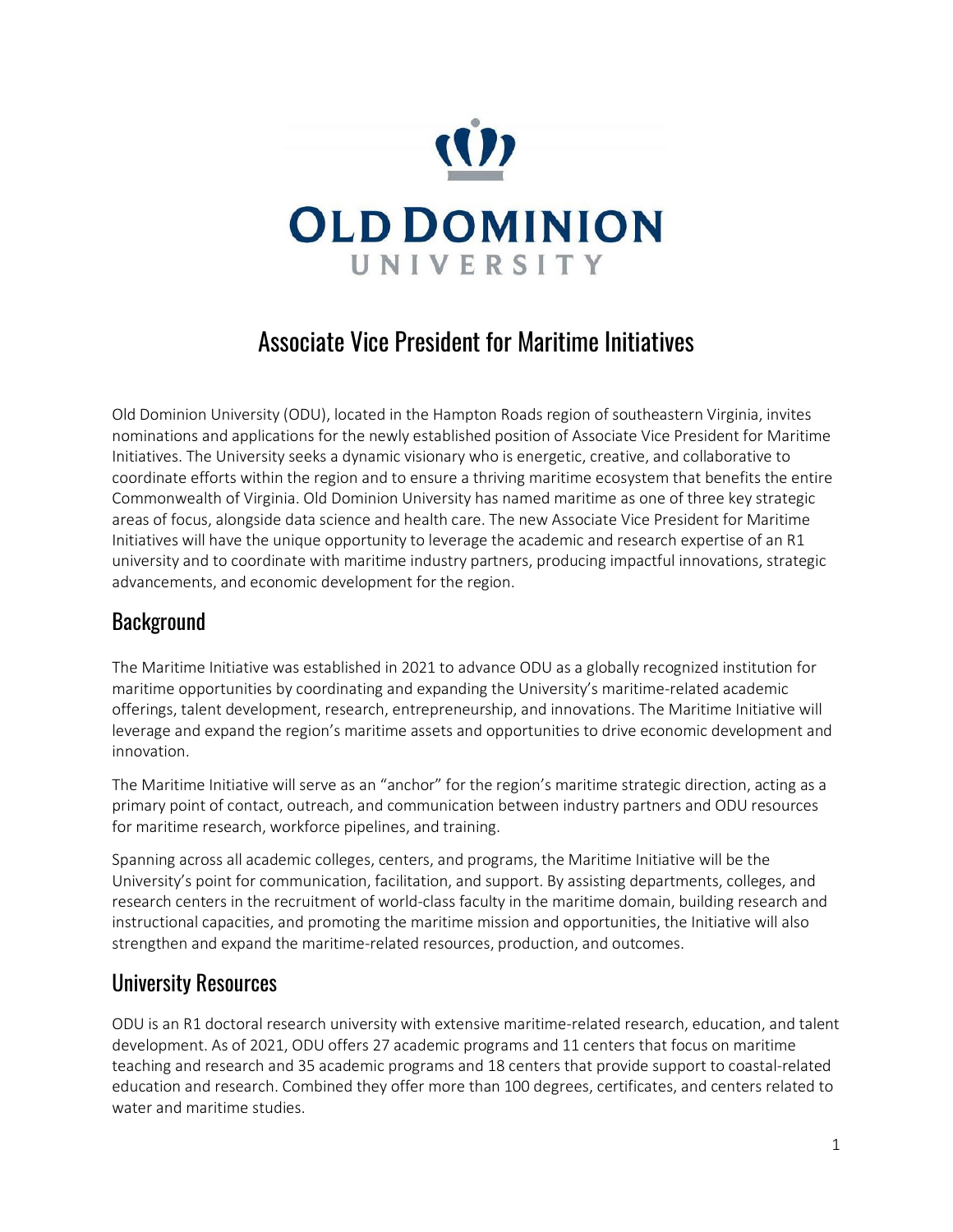

# Associate Vice President for Maritime Initiatives

Old Dominion University (ODU), located in the Hampton Roads region of southeastern Virginia, invites nominations and applications for the newly established position of Associate Vice President for Maritime Initiatives. The University seeks a dynamic visionary who is energetic, creative, and collaborative to coordinate efforts within the region and to ensure a thriving maritime ecosystem that benefits the entire Commonwealth of Virginia. Old Dominion University has named maritime as one of three key strategic areas of focus, alongside data science and health care. The new Associate Vice President for Maritime Initiatives will have the unique opportunity to leverage the academic and research expertise of an R1 university and to coordinate with maritime industry partners, producing impactful innovations, strategic advancements, and economic development for the region.

## **Background**

The Maritime Initiative was established in 2021 to advance ODU as a globally recognized institution for maritime opportunities by coordinating and expanding the University's maritime-related academic offerings, talent development, research, entrepreneurship, and innovations. The Maritime Initiative will leverage and expand the region's maritime assets and opportunities to drive economic development and innovation.

The Maritime Initiative will serve as an "anchor" for the region's maritime strategic direction, acting as a primary point of contact, outreach, and communication between industry partners and ODU resources for maritime research, workforce pipelines, and training.

Spanning across all academic colleges, centers, and programs, the Maritime Initiative will be the University's point for communication, facilitation, and support. By assisting departments, colleges, and research centers in the recruitment of world-class faculty in the maritime domain, building research and instructional capacities, and promoting the maritime mission and opportunities, the Initiative will also strengthen and expand the maritime-related resources, production, and outcomes.

#### University Resources

ODU is an R1 doctoral research university with extensive maritime-related research, education, and talent development. As of 2021, ODU offers 27 academic programs and 11 centers that focus on maritime teaching and research and 35 academic programs and 18 centers that provide support to coastal-related education and research. Combined they offer more than 100 degrees, certificates, and centers related to water and maritime studies.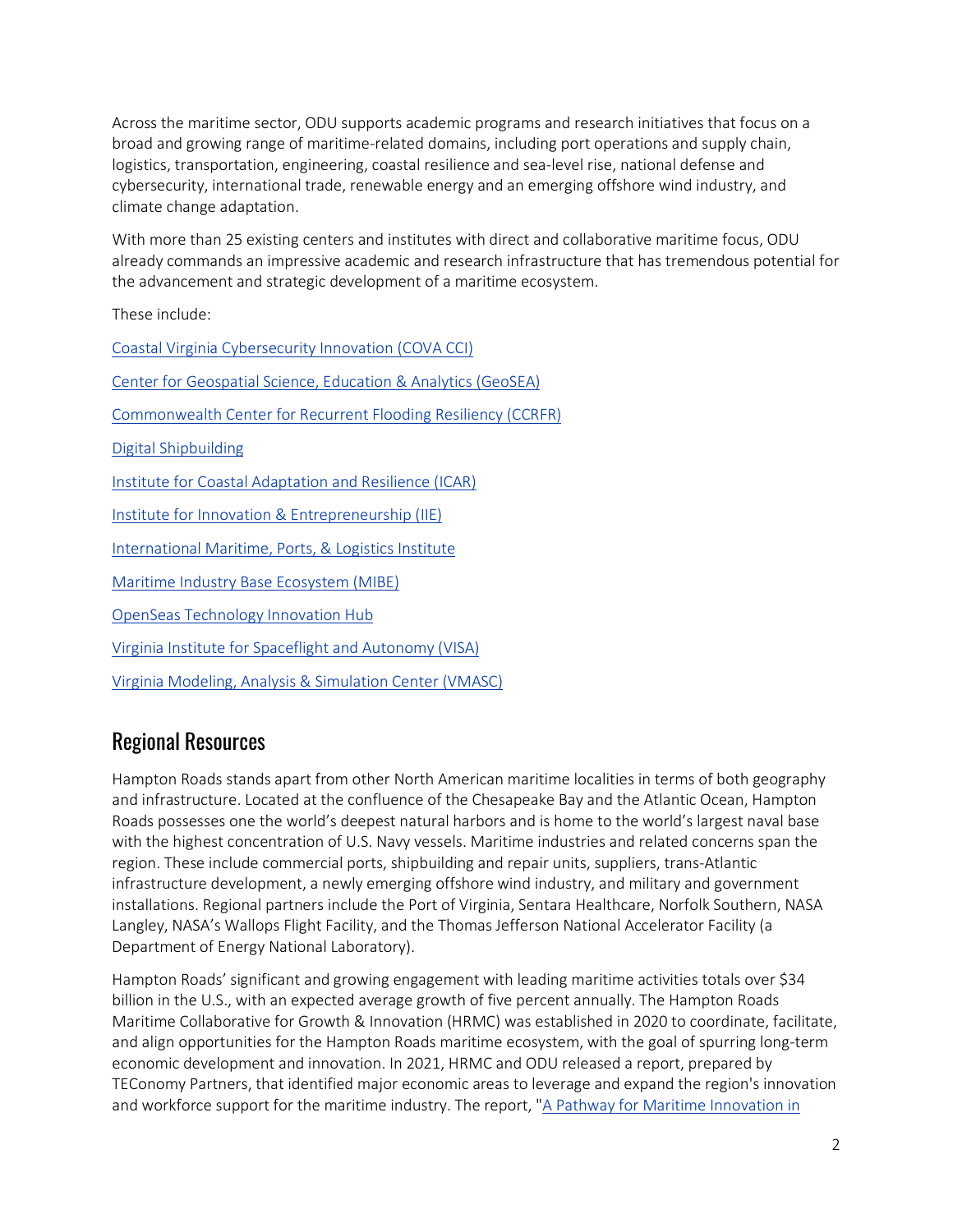Across the maritime sector, ODU supports academic programs and research initiatives that focus on a broad and growing range of maritime-related domains, including port operations and supply chain, logistics, transportation, engineering, coastal resilience and sea-level rise, national defense and cybersecurity, international trade, renewable energy and an emerging offshore wind industry, and climate change adaptation.

With more than 25 existing centers and institutes with direct and collaborative maritime focus, ODU already commands an impressive academic and research infrastructure that has tremendous potential for the advancement and strategic development of a maritime ecosystem.

These include:

[Coastal Virginia Cybersecurity Innovation \(COVA CCI\)](https://covacci.org/) [Center for Geospatial Science, Education & Analytics \(GeoSEA\)](https://www.odu.edu/facultystaff/research/resources/computing/gis) [Commonwealth Center for Recurrent Flooding Resiliency \(CCRFR\)](https://www.floodingresiliency.org/) [Digital Shipbuilding](https://digitalshipva.org/) [Institute for Coastal Adaptation and Resilience](https://oduadaptationandresilience.org/) (ICAR) [Institute for Innovation & Entrepreneurship \(IIE\)](https://www.odu.edu/iie) [International Maritime, Ports, & Logistics Institute](https://www.odu.edu/business/center/port) [Maritime Industry Base Ecosystem \(MIBE\)](https://maritime757.org/) [OpenSeas Technology Innovation Hub](https://www.odu.edu/iie/openseas) [Virginia Institute for Spaceflight and Autonomy](https://visaatodu.org/) (VISA) [Virginia Modeling, Analysis & Simulation Center \(VMASC\)](https://www.odu.edu/vmasc)

## Regional Resources

Hampton Roads stands apart from other North American maritime localities in terms of both geography and infrastructure. Located at the confluence of the Chesapeake Bay and the Atlantic Ocean, Hampton Roads possesses one the world's deepest natural harbors and is home to the world's largest naval base with the highest concentration of U.S. Navy vessels. Maritime industries and related concerns span the region. These include commercial ports, shipbuilding and repair units, suppliers, trans-Atlantic infrastructure development, a newly emerging offshore wind industry, and military and government installations. Regional partners include the Port of Virginia, Sentara Healthcare, Norfolk Southern, NASA Langley, NASA's Wallops Flight Facility, and the Thomas Jefferson National Accelerator Facility (a Department of Energy National Laboratory).

Hampton Roads' significant and growing engagement with leading maritime activities totals over \$34 billion in the U.S., with an expected average growth of five percent annually. The Hampton Roads Maritime Collaborative for Growth & Innovation (HRMC) was established in 2020 to coordinate, facilitate, and align opportunities for the Hampton Roads maritime ecosystem, with the goal of spurring long-term economic development and innovation. In 2021, HRMC and ODU released a report, prepared by TEConomy Partners, that identified major economic areas to leverage and expand the region's innovation and workforce support for the maritime industry. The report, "A Pathway for Maritime Innovation in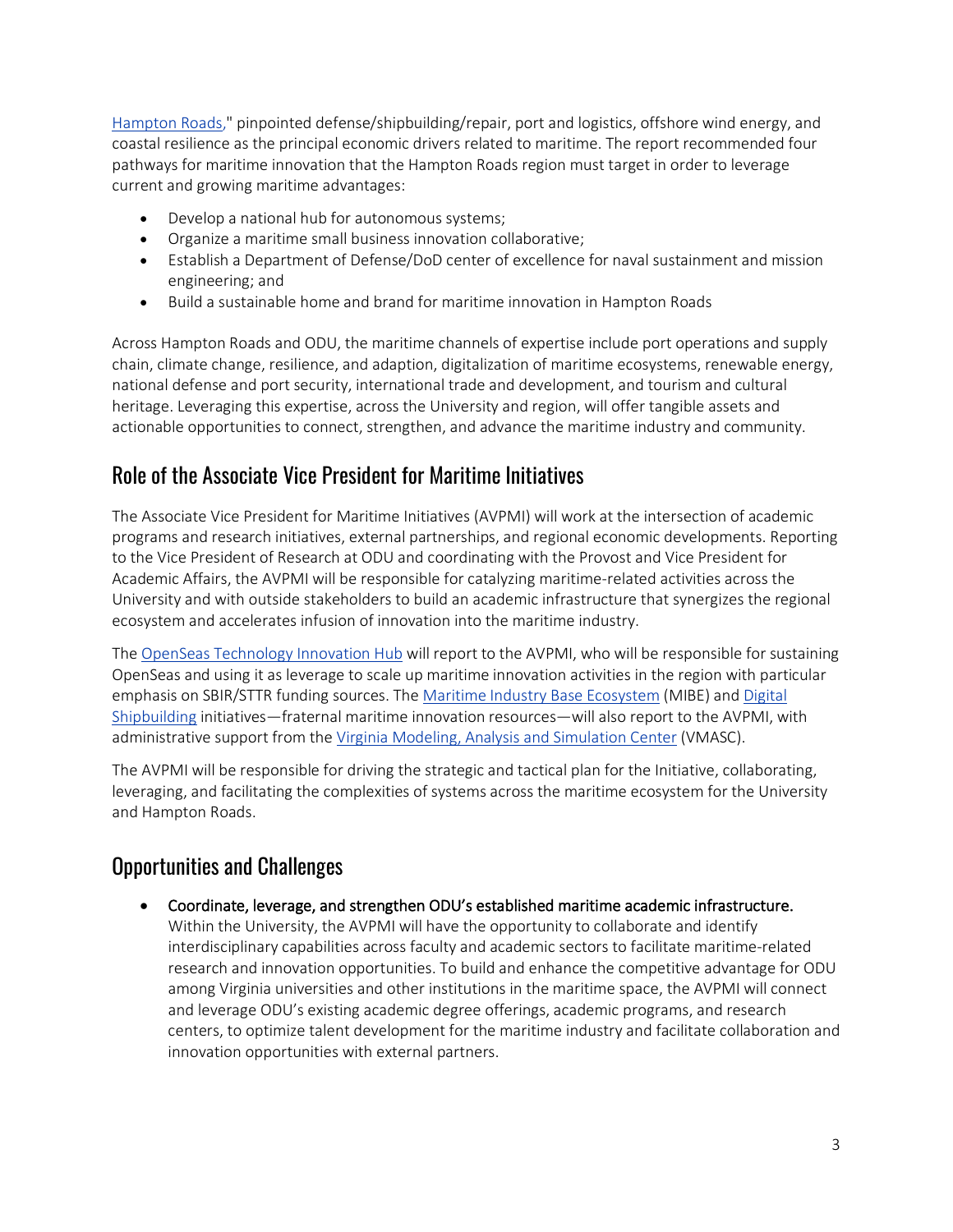[Hampton Roads,](https://odu.edu/content/dam/odu/offices/innovation-entrepreneurship/documents/teconomy-report.pdf)" pinpointed defense/shipbuilding/repair, port and logistics, offshore wind energy, and coastal resilience as the principal economic drivers related to maritime. The report recommended four pathways for maritime innovation that the Hampton Roads region must target in order to leverage current and growing maritime advantages:

- Develop a national hub for autonomous systems;
- Organize a maritime small business innovation collaborative;
- Establish a Department of Defense/DoD center of excellence for naval sustainment and mission engineering; and
- Build a sustainable home and brand for maritime innovation in Hampton Roads

Across Hampton Roads and ODU, the maritime channels of expertise include port operations and supply chain, climate change, resilience, and adaption, digitalization of maritime ecosystems, renewable energy, national defense and port security, international trade and development, and tourism and cultural heritage. Leveraging this expertise, across the University and region, will offer tangible assets and actionable opportunities to connect, strengthen, and advance the maritime industry and community.

#### Role of the Associate Vice President for Maritime Initiatives

The Associate Vice President for Maritime Initiatives (AVPMI) will work at the intersection of academic programs and research initiatives, external partnerships, and regional economic developments. Reporting to the Vice President of Research at ODU and coordinating with the Provost and Vice President for Academic Affairs, the AVPMI will be responsible for catalyzing maritime-related activities across the University and with outside stakeholders to build an academic infrastructure that synergizes the regional ecosystem and accelerates infusion of innovation into the maritime industry.

The [OpenSeas Technology Innovation Hub](https://www.odu.edu/iie/openseas) will report to the AVPMI, who will be responsible for sustaining OpenSeas and using it as leverage to scale up maritime innovation activities in the region with particular emphasis on SBIR/STTR funding sources. Th[e Maritime Industry Base Ecosystem](https://maritime757.org/) (MIBE) and [Digital](https://digitalshipva.org/)  [Shipbuilding](https://digitalshipva.org/) initiatives—fraternal maritime innovation resources—will also report to the AVPMI, with administrative support from the [Virginia Modeling, Analysis and Simulation Center](https://www.odu.edu/vmasc) (VMASC).

The AVPMI will be responsible for driving the strategic and tactical plan for the Initiative, collaborating, leveraging, and facilitating the complexities of systems across the maritime ecosystem for the University and Hampton Roads.

## Opportunities and Challenges

• Coordinate, leverage, and strengthen ODU's established maritime academic infrastructure. Within the University, the AVPMI will have the opportunity to collaborate and identify interdisciplinary capabilities across faculty and academic sectors to facilitate maritime-related research and innovation opportunities. To build and enhance the competitive advantage for ODU among Virginia universities and other institutions in the maritime space, the AVPMI will connect and leverage ODU's existing academic degree offerings, academic programs, and research centers, to optimize talent development for the maritime industry and facilitate collaboration and innovation opportunities with external partners.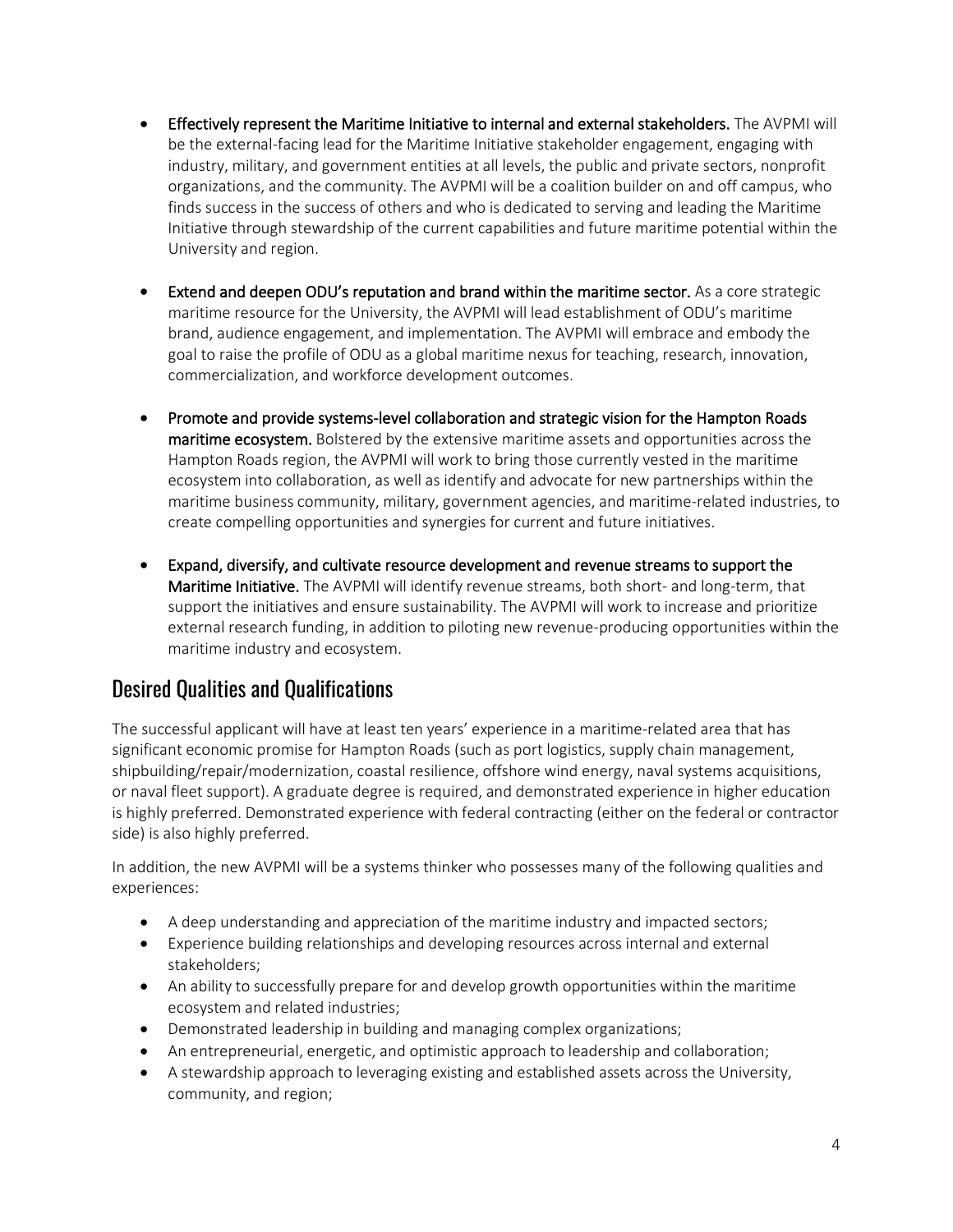- Effectively represent the Maritime Initiative to internal and external stakeholders. The AVPMI will be the external-facing lead for the Maritime Initiative stakeholder engagement, engaging with industry, military, and government entities at all levels, the public and private sectors, nonprofit organizations, and the community. The AVPMI will be a coalition builder on and off campus, who finds success in the success of others and who is dedicated to serving and leading the Maritime Initiative through stewardship of the current capabilities and future maritime potential within the University and region.
- Extend and deepen ODU's reputation and brand within the maritime sector. As a core strategic maritime resource for the University, the AVPMI will lead establishment of ODU's maritime brand, audience engagement, and implementation. The AVPMI will embrace and embody the goal to raise the profile of ODU as a global maritime nexus for teaching, research, innovation, commercialization, and workforce development outcomes.
- Promote and provide systems-level collaboration and strategic vision for the Hampton Roads maritime ecosystem. Bolstered by the extensive maritime assets and opportunities across the Hampton Roads region, the AVPMI will work to bring those currently vested in the maritime ecosystem into collaboration, as well as identify and advocate for new partnerships within the maritime business community, military, government agencies, and maritime-related industries, to create compelling opportunities and synergies for current and future initiatives.
- Expand, diversify, and cultivate resource development and revenue streams to support the Maritime Initiative. The AVPMI will identify revenue streams, both short- and long-term, that support the initiatives and ensure sustainability. The AVPMI will work to increase and prioritize external research funding, in addition to piloting new revenue-producing opportunities within the maritime industry and ecosystem.

#### Desired Qualities and Qualifications

The successful applicant will have at least ten years' experience in a maritime-related area that has significant economic promise for Hampton Roads (such as port logistics, supply chain management, shipbuilding/repair/modernization, coastal resilience, offshore wind energy, naval systems acquisitions, or naval fleet support). A graduate degree is required, and demonstrated experience in higher education is highly preferred. Demonstrated experience with federal contracting (either on the federal or contractor side) is also highly preferred.

In addition, the new AVPMI will be a systems thinker who possesses many of the following qualities and experiences:

- A deep understanding and appreciation of the maritime industry and impacted sectors;
- Experience building relationships and developing resources across internal and external stakeholders;
- An ability to successfully prepare for and develop growth opportunities within the maritime ecosystem and related industries;
- Demonstrated leadership in building and managing complex organizations;
- An entrepreneurial, energetic, and optimistic approach to leadership and collaboration;
- A stewardship approach to leveraging existing and established assets across the University, community, and region;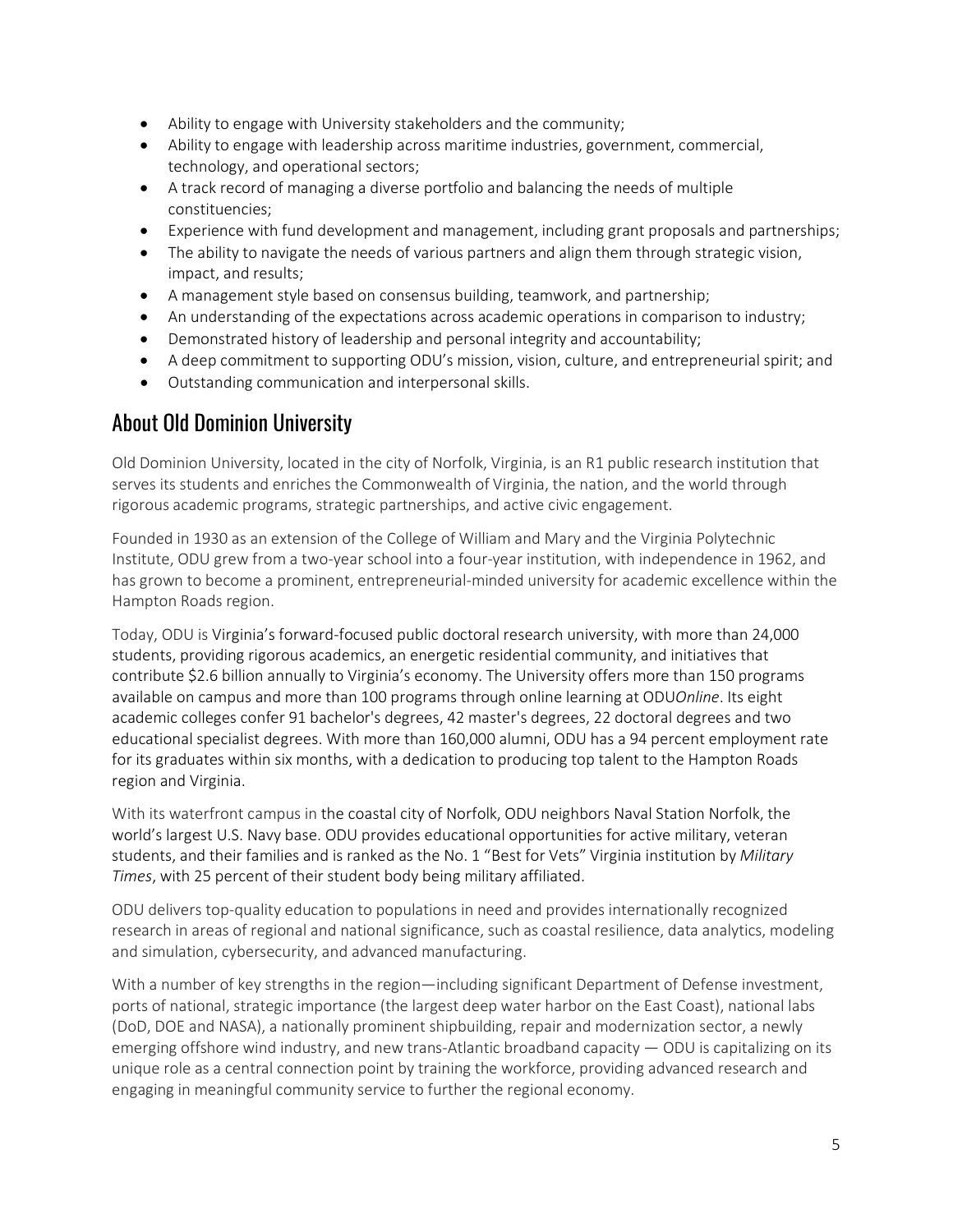- Ability to engage with University stakeholders and the community;
- Ability to engage with leadership across maritime industries, government, commercial, technology, and operational sectors;
- A track record of managing a diverse portfolio and balancing the needs of multiple constituencies;
- Experience with fund development and management, including grant proposals and partnerships;
- The ability to navigate the needs of various partners and align them through strategic vision, impact, and results;
- A management style based on consensus building, teamwork, and partnership;
- An understanding of the expectations across academic operations in comparison to industry;
- Demonstrated history of leadership and personal integrity and accountability;
- A deep commitment to supporting ODU's mission, vision, culture, and entrepreneurial spirit; and
- Outstanding communication and interpersonal skills.

#### About Old Dominion University

Old Dominion University, located in the city of Norfolk, Virginia, is an R1 public research institution that serves its students and enriches the Commonwealth of Virginia, the nation, and the world through rigorous academic programs, strategic partnerships, and active civic engagement.

Founded in 1930 as an extension of the College of William and Mary and the Virginia Polytechnic Institute, ODU grew from a two-year school into a four-year institution, with independence in 1962, and has grown to become a prominent, entrepreneurial-minded university for academic excellence within the Hampton Roads region.

Today, ODU is Virginia's forward-focused public doctoral research university, with more than 24,000 students, providing rigorous academics, an energetic residential community, and initiatives that contribute \$2.6 billion annually to Virginia's economy. The University offers more than 150 programs available on campus and more than 100 programs through online learning at ODU*Online*. Its eight academic colleges confer 91 bachelor's degrees, 42 master's degrees, 22 doctoral degrees and two educational specialist degrees. With more than 160,000 alumni, ODU has a 94 percent employment rate for its graduates within six months, with a dedication to producing top talent to the Hampton Roads region and Virginia.

With its waterfront campus in the coastal city of Norfolk, ODU neighbors Naval Station Norfolk, the world's largest U.S. Navy base. ODU provides educational opportunities for active military, veteran students, and their families and is ranked as the No. 1 "Best for Vets" Virginia institution by *Military Times*, with 25 percent of their student body being military affiliated.

ODU delivers top-quality education to populations in need and provides internationally recognized research in areas of regional and national significance, such as coastal resilience, data analytics, modeling and simulation, cybersecurity, and advanced manufacturing.

With a number of key strengths in the region—including significant Department of Defense investment, ports of national, strategic importance (the largest deep water harbor on the East Coast), national labs (DoD, DOE and NASA), a nationally prominent shipbuilding, repair and modernization sector, a newly emerging offshore wind industry, and new trans-Atlantic broadband capacity — ODU is capitalizing on its unique role as a central connection point by training the workforce, providing advanced research and engaging in meaningful community service to further the regional economy.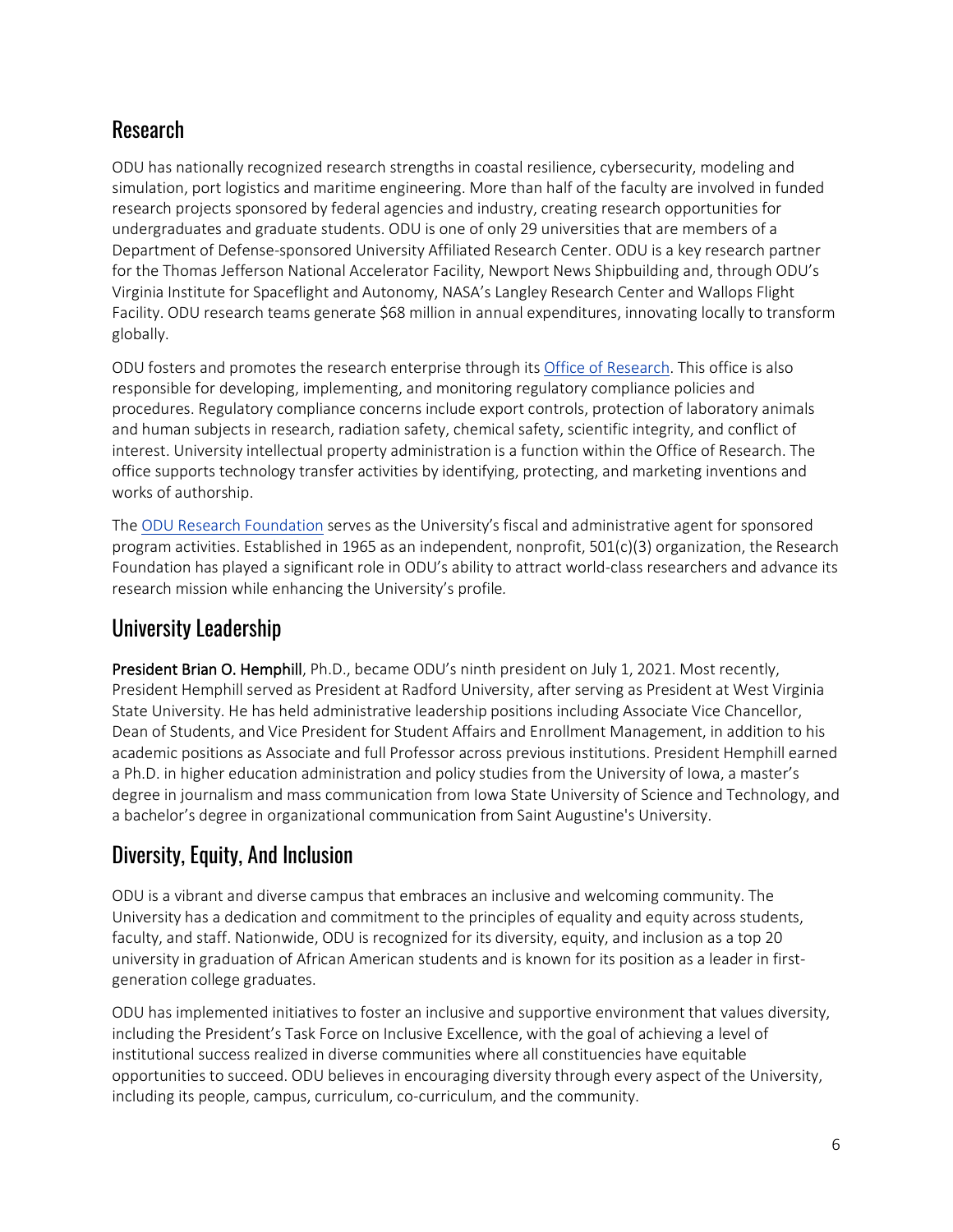# Research

ODU has nationally recognized research strengths in coastal resilience, cybersecurity, modeling and simulation, port logistics and maritime engineering. More than half of the faculty are involved in funded research projects sponsored by federal agencies and industry, creating research opportunities for undergraduates and graduate students. ODU is one of only 29 universities that are members of a Department of Defense-sponsored University Affiliated Research Center. ODU is a key research partner for the Thomas Jefferson National Accelerator Facility, Newport News Shipbuilding and, through ODU's Virginia Institute for Spaceflight and Autonomy, NASA's Langley Research Center and Wallops Flight Facility. ODU research teams generate \$68 million in annual expenditures, innovating locally to transform globally.

ODU fosters and promotes the research enterprise through it[s Office of Research.](https://www.odu.edu/research) This office is also responsible for developing, implementing, and monitoring regulatory compliance policies and procedures. Regulatory compliance concerns include export controls, protection of laboratory animals and human subjects in research, radiation safety, chemical safety, scientific integrity, and conflict of interest. University intellectual property administration is a function within the Office of Research. The office supports technology transfer activities by identifying, protecting, and marketing inventions and works of authorship.

The [ODU Research Foundation](https://researchfoundation.odu.edu/) serves as the University's fiscal and administrative agent for sponsored program activities. Established in 1965 as an independent, nonprofit, 501(c)(3) organization, the Research Foundation has played a significant role in ODU's ability to attract world-class researchers and advance its research mission while enhancing the University's profile*.* 

#### University Leadership

President Brian O. Hemphill, Ph.D., became ODU's ninth president on July 1, 2021. Most recently, President Hemphill served as President at Radford University, after serving as President at West Virginia State University. He has held administrative leadership positions including Associate Vice Chancellor, Dean of Students, and Vice President for Student Affairs and Enrollment Management, in addition to his academic positions as Associate and full Professor across previous institutions. President Hemphill earned a Ph.D. in higher education administration and policy studies from the University of Iowa, a master's degree in journalism and mass communication from Iowa State University of Science and Technology, and a bachelor's degree in organizational communication from Saint Augustine's University.

# Diversity, Equity, And Inclusion

ODU is a vibrant and diverse campus that embraces an inclusive and welcoming community. The University has a dedication and commitment to the principles of equality and equity across students, faculty, and staff. Nationwide, ODU is recognized for its diversity, equity, and inclusion as a top 20 university in graduation of African American students and is known for its position as a leader in firstgeneration college graduates.

ODU has implemented initiatives to foster an inclusive and supportive environment that values diversity, including the President's Task Force on Inclusive Excellence, with the goal of achieving a level of institutional success realized in diverse communities where all constituencies have equitable opportunities to succeed. ODU believes in encouraging diversity through every aspect of the University, including its people, campus, curriculum, co-curriculum, and the community.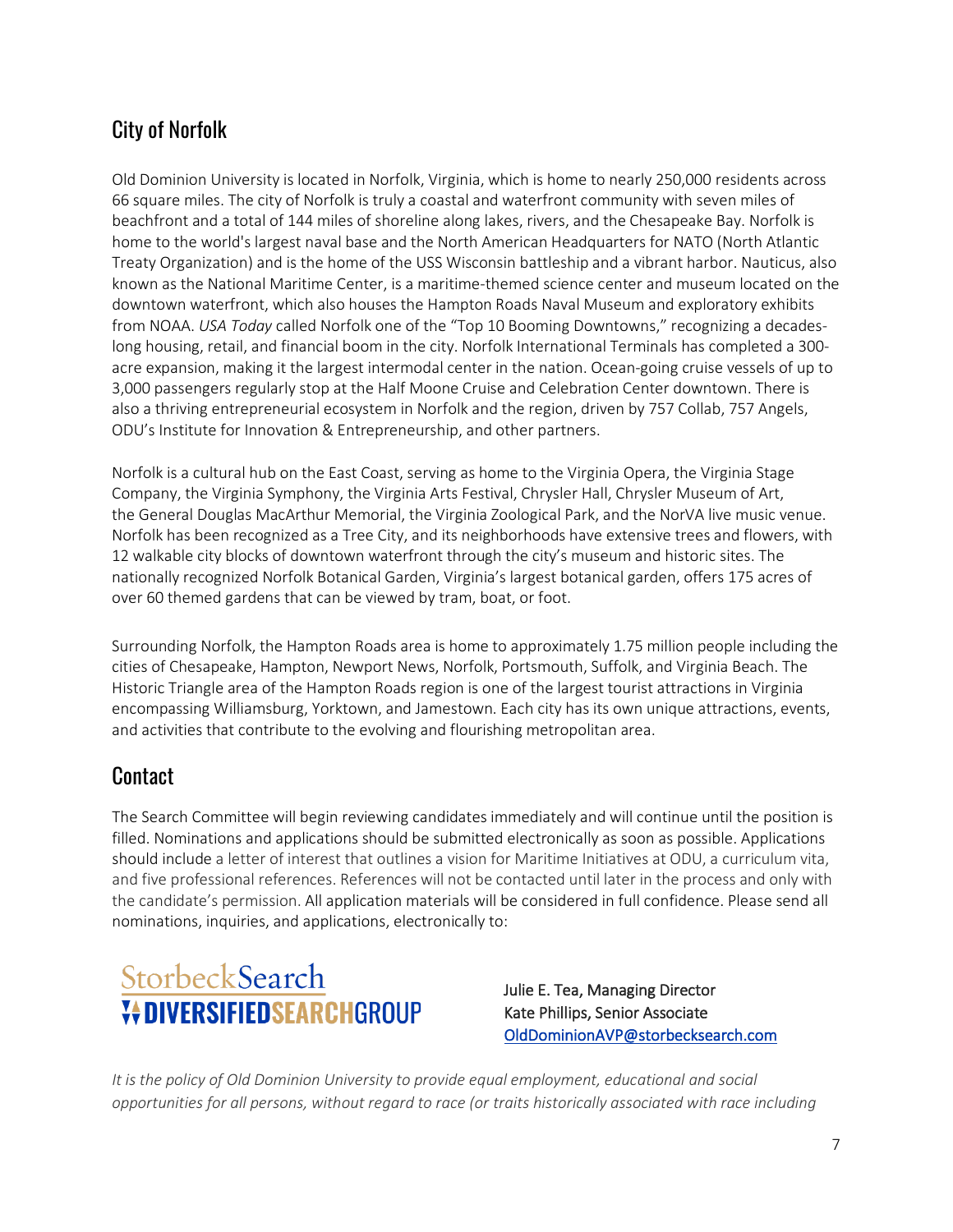# City of Norfolk

Old Dominion University is located in Norfolk, Virginia, which is home to nearly 250,000 residents across 66 square miles. The city of Norfolk is truly a coastal and waterfront community with seven miles of beachfront and a total of 144 miles of shoreline along lakes, rivers, and the Chesapeake Bay. Norfolk is home to the world's largest naval base and the North American Headquarters for NATO (North Atlantic Treaty Organization) and is the home of the USS Wisconsin battleship and a vibrant harbor. Nauticus, also known as the National Maritime Center, is a maritime-themed science center and museum located on the downtown waterfront, which also houses the Hampton Roads Naval Museum and exploratory exhibits from NOAA. *USA Today* called Norfolk one of the "Top 10 Booming Downtowns," recognizing a decadeslong housing, retail, and financial boom in the city. Norfolk International Terminals has completed a 300 acre expansion, making it the largest intermodal center in the nation. Ocean-going cruise vessels of up to 3,000 passengers regularly stop at the Half Moone Cruise and Celebration Center downtown. There is also a thriving entrepreneurial ecosystem in Norfolk and the region, driven by 757 Collab, 757 Angels, ODU's Institute for Innovation & Entrepreneurship, and other partners.

Norfolk is a cultural hub on the East Coast, serving as home to the Virginia Opera, the Virginia Stage Company, the Virginia Symphony, the Virginia Arts Festival, Chrysler Hall, Chrysler Museum of Art, the General Douglas MacArthur Memorial, the Virginia Zoological Park, and the NorVA live music venue. Norfolk has been recognized as a Tree City, and its neighborhoods have extensive trees and flowers, with 12 walkable city blocks of downtown waterfront through the city's museum and historic sites. The nationally recognized Norfolk Botanical Garden, Virginia's largest botanical garden, offers 175 acres of over 60 themed gardens that can be viewed by tram, boat, or foot.

Surrounding Norfolk, the Hampton Roads area is home to approximately 1.75 million people including the cities of Chesapeake, Hampton, Newport News, Norfolk, Portsmouth, Suffolk, and Virginia Beach. The Historic Triangle area of the Hampton Roads region is one of the largest tourist attractions in Virginia encompassing Williamsburg, Yorktown, and Jamestown. Each city has its own unique attractions, events, and activities that contribute to the evolving and flourishing metropolitan area.

## **Contact**

The Search Committee will begin reviewing candidates immediately and will continue until the position is filled. Nominations and applications should be submitted electronically as soon as possible. Applications should include a letter of interest that outlines a vision for Maritime Initiatives at ODU, a curriculum vita, and five professional references. References will not be contacted until later in the process and only with the candidate's permission. All application materials will be considered in full confidence. Please send all nominations, inquiries, and applications, electronically to:



 Julie E. Tea, Managing Director Kate Phillips, Senior Associate [OldDominionAVP@storbecksearch.com](mailto:OldDominionAVP@storbecksearch.com)

*It is the policy of Old Dominion University to provide equal employment, educational and social opportunities for all persons, without regard to race (or traits historically associated with race including*